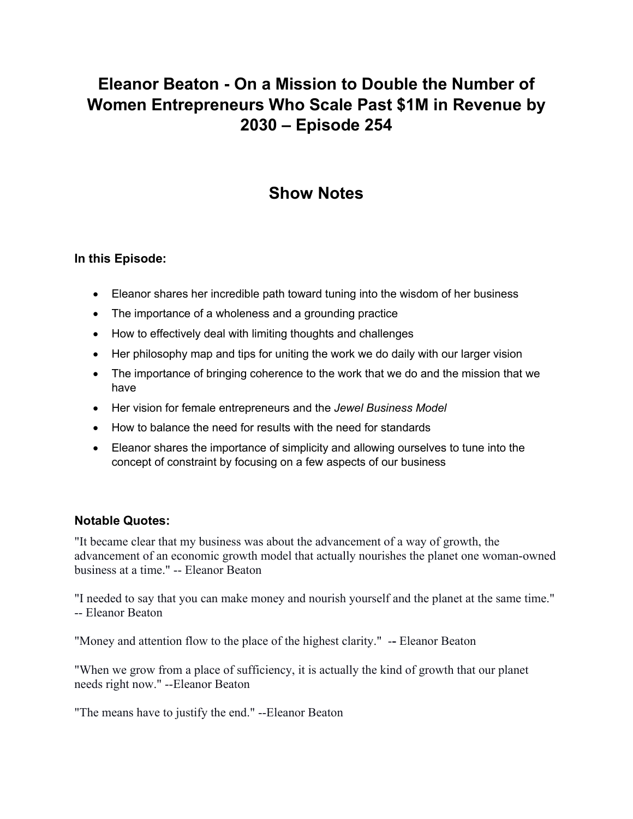# **Eleanor Beaton - On a Mission to Double the Number of Women Entrepreneurs Who Scale Past \$1M in Revenue by 2030 – Episode 254**

## **Show Notes**

### **In this Episode:**

- Eleanor shares her incredible path toward tuning into the wisdom of her business
- The importance of a wholeness and a grounding practice
- How to effectively deal with limiting thoughts and challenges
- Her philosophy map and tips for uniting the work we do daily with our larger vision
- The importance of bringing coherence to the work that we do and the mission that we have
- Her vision for female entrepreneurs and the *Jewel Business Model*
- How to balance the need for results with the need for standards
- Eleanor shares the importance of simplicity and allowing ourselves to tune into the concept of constraint by focusing on a few aspects of our business

#### **Notable Quotes:**

"It became clear that my business was about the advancement of a way of growth, the advancement of an economic growth model that actually nourishes the planet one woman-owned business at a time." -- Eleanor Beaton

"I needed to say that you can make money and nourish yourself and the planet at the same time." -- Eleanor Beaton

"Money and attention flow to the place of the highest clarity." -**-** Eleanor Beaton

"When we grow from a place of sufficiency, it is actually the kind of growth that our planet needs right now." --Eleanor Beaton

"The means have to justify the end." --Eleanor Beaton